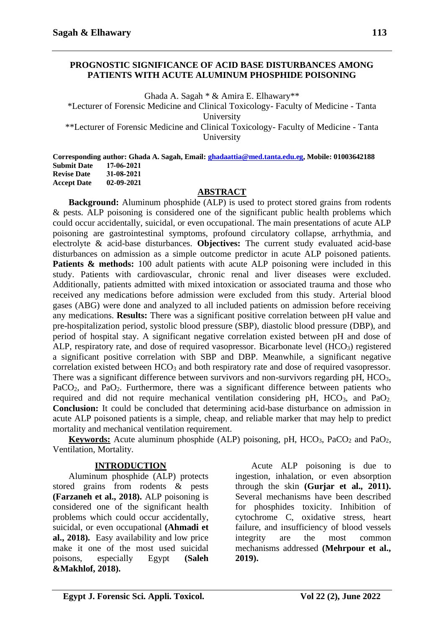## **PROGNOSTIC SIGNIFICANCE OF ACID BASE DISTURBANCES AMONG PATIENTS WITH ACUTE ALUMINUM PHOSPHIDE POISONING**

Ghada A. Sagah \* & Amira E. Elhawary\*\* \*Lecturer of Forensic Medicine and Clinical Toxicology- Faculty of Medicine - Tanta University \*\*Lecturer of Forensic Medicine and Clinical Toxicology- Faculty of Medicine - Tanta University

**Corresponding author: Ghada A. Sagah, Email[: ghadaattia@med.tanta.edu.eg,](mailto:ghadaattia@med.tanta.edu.eg) Mobile: 01003642188 Submit Date 17-06-2021 Revise Date 31-08-2021 Accept Date 02-09-2021**

#### **ABSTRACT**

**Background:** Aluminum phosphide (ALP) is used to protect stored grains from rodents & pests. ALP poisoning is considered one of the significant public health problems which could occur accidentally, suicidal, or even occupational. The main presentations of acute ALP poisoning are gastrointestinal symptoms, profound circulatory collapse, arrhythmia, and electrolyte & acid-base disturbances. **Objectives:** The current study evaluated acid-base disturbances on admission as a simple outcome predictor in acute ALP poisoned patients. Patients & methods: 100 adult patients with acute ALP poisoning were included in this study. Patients with cardiovascular, chronic renal and liver diseases were excluded. Additionally, patients admitted with mixed intoxication or associated trauma and those who received any medications before admission were excluded from this study. Arterial blood gases (ABG) were done and analyzed to all included patients on admission before receiving any medications. **Results:** There was a significant positive correlation between pH value and pre-hospitalization period, systolic blood pressure (SBP), diastolic blood pressure (DBP), and period of hospital stay. A significant negative correlation existed between pH and dose of ALP, respiratory rate, and dose of required vasopressor. Bicarbonate level (HCO<sub>3</sub>) registered a significant positive correlation with SBP and DBP. Meanwhile, a significant negative correlation existed between HCO<sub>3</sub> and both respiratory rate and dose of required vasopressor. There was a significant difference between survivors and non-survivors regarding pH, HCO<sub>3</sub>, PaCO<sub>2</sub>, and PaO<sub>2</sub>. Furthermore, there was a significant difference between patients who required and did not require mechanical ventilation considering pH, HCO<sub>3</sub>, and PaO<sub>2</sub>. **Conclusion:** It could be concluded that determining acid-base disturbance on admission in acute ALP poisoned patients is a simple, cheap, and reliable marker that may help to predict mortality and mechanical ventilation requirement.

**Keywords:** Acute aluminum phosphide (ALP) poisoning, pH,  $HCO<sub>3</sub>$ ,  $PaCO<sub>2</sub>$  and  $PaO<sub>2</sub>$ , Ventilation, Mortality.

#### **INTRODUCTION**

Aluminum phosphide (ALP) protects stored grains from rodents & pests **(Farzaneh et al., 2018).** ALP poisoning is considered one of the significant health problems which could occur accidentally, suicidal, or even occupational **(Ahmadi et al., 2018).** Easy availability and low price make it one of the most used suicidal poisons, especially Egypt **(Saleh &Makhlof, 2018).**

Acute ALP poisoning is due to ingestion, inhalation, or even absorption through the skin **(Gurjar et al., 2011).** Several mechanisms have been described for phosphides toxicity. Inhibition of cytochrome C, oxidative stress, heart failure, and insufficiency of blood vessels integrity are the most common mechanisms addressed **(Mehrpour et al., 2019).**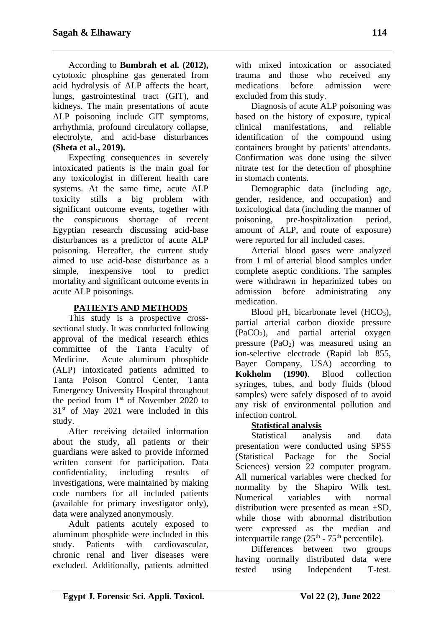According to **Bumbrah et al. (2012),** cytotoxic phosphine gas generated from acid hydrolysis of ALP affects the heart, lungs, gastrointestinal tract (GIT), and kidneys. The main presentations of acute ALP poisoning include GIT symptoms, arrhythmia, profound circulatory collapse, electrolyte, and acid-base disturbances **(Sheta et al., 2019).**

Expecting consequences in severely intoxicated patients is the main goal for any toxicologist in different health care systems. At the same time, acute ALP toxicity stills a big problem with significant outcome events, together with the conspicuous shortage of recent Egyptian research discussing acid-base disturbances as a predictor of acute ALP poisoning. Hereafter, the current study aimed to use acid-base disturbance as a simple, inexpensive tool to predict mortality and significant outcome events in acute ALP poisonings.

## **PATIENTS AND METHODS**

This study is a prospective crosssectional study. It was conducted following approval of the medical research ethics committee of the Tanta Faculty of Medicine. Acute aluminum phosphide (ALP) intoxicated patients admitted to Tanta Poison Control Center, Tanta Emergency University Hospital throughout the period from 1<sup>st</sup> of November 2020 to  $31<sup>st</sup>$  of May 2021 were included in this study.

After receiving detailed information about the study, all patients or their guardians were asked to provide informed written consent for participation. Data confidentiality, including results of investigations, were maintained by making code numbers for all included patients (available for primary investigator only), data were analyzed anonymously.

Adult patients acutely exposed to aluminum phosphide were included in this study. Patients with cardiovascular, chronic renal and liver diseases were excluded. Additionally, patients admitted with mixed intoxication or associated trauma and those who received any medications before admission were excluded from this study.

Diagnosis of acute ALP poisoning was based on the history of exposure, typical clinical manifestations, and reliable identification of the compound using containers brought by patients' attendants. Confirmation was done using the silver nitrate test for the detection of phosphine in stomach contents.

Demographic data (including age, gender, residence, and occupation) and toxicological data (including the manner of poisoning, pre-hospitalization period, amount of ALP, and route of exposure) were reported for all included cases.

Arterial blood gases were analyzed from 1 ml of arterial blood samples under complete aseptic conditions. The samples were withdrawn in heparinized tubes on admission before administrating any medication.

Blood pH, bicarbonate level  $(HCO<sub>3</sub>)$ , partial arterial carbon dioxide pressure (PaCO2), and partial arterial oxygen pressure  $(PaO<sub>2</sub>)$  was measured using an ion-selective electrode (Rapid lab 855, Bayer Company, USA) according to **Kokholm (1990)**. Blood collection syringes, tubes, and body fluids (blood samples) were safely disposed of to avoid any risk of environmental pollution and infection control.

# **Statistical analysis**

Statistical analysis and data presentation were conducted using SPSS (Statistical Package for the Social Sciences) version 22 computer program. All numerical variables were checked for normality by the Shapiro Wilk test. Numerical variables with normal distribution were presented as mean ±SD, while those with abnormal distribution were expressed as the median and interquartile range  $(25<sup>th</sup> - 75<sup>th</sup>$  percentile).

Differences between two groups having normally distributed data were tested using Independent T-test.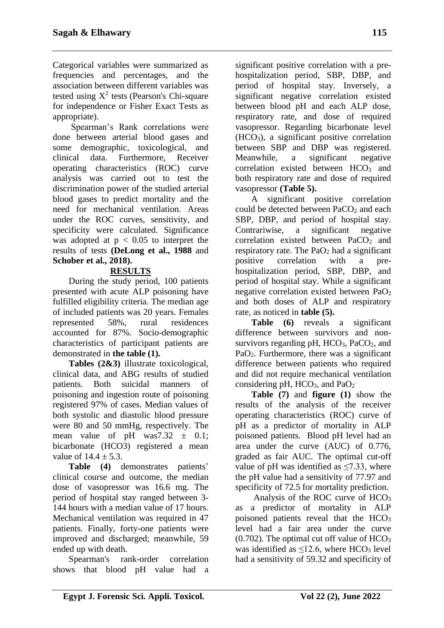Categorical variables were summarized as frequencies and percentages, and the association between different variables was tested using  $X^2$  tests (Pearson's Chi-square for independence or Fisher Exact Tests as appropriate).

Spearman's Rank correlations were done between arterial blood gases and some demographic, toxicological, and clinical data. Furthermore, Receiver operating characteristics (ROC) curve analysis was carried out to test the discrimination power of the studied arterial blood gases to predict mortality and the need for mechanical ventilation. Areas under the ROC curves, sensitivity, and specificity were calculated. Significance was adopted at  $p < 0.05$  to interpret the results of tests **(DeLong et al., 1988** and **Schober et al., 2018).**

# **RESULTS**

During the study period, 100 patients presented with acute ALP poisoning have fulfilled eligibility criteria. The median age of included patients was 20 years. Females represented 58%, rural residences accounted for 87%. Socio-demographic characteristics of participant patients are demonstrated in **the table (1).**

**Tables (2&3)** illustrate toxicological, clinical data, and ABG results of studied patients. Both suicidal manners of poisoning and ingestion route of poisoning registered 97% of cases. Median values of both systolic and diastolic blood pressure were 80 and 50 mmHg, respectively. The mean value of pH was  $7.32 \pm 0.1$ ; bicarbonate (HCO3) registered a mean value of  $14.4 + 5.3$ .

**Table (4)** demonstrates patients' clinical course and outcome, the median dose of vasopressor was 16.6 mg. The period of hospital stay ranged between 3- 144 hours with a median value of 17 hours. Mechanical ventilation was required in 47 patients. Finally, forty-one patients were improved and discharged; meanwhile, 59 ended up with death.

Spearman's rank-order correlation shows that blood pH value had a significant positive correlation with a prehospitalization period, SBP, DBP, and period of hospital stay. Inversely, a significant negative correlation existed between blood pH and each ALP dose, respiratory rate, and dose of required vasopressor. Regarding bicarbonate level (HCO3), a significant positive correlation between SBP and DBP was registered. Meanwhile, a significant negative correlation existed between HCO<sub>3</sub> and both respiratory rate and dose of required vasopressor **(Table 5).**

A significant positive correlation could be detected between  $PaCO<sub>2</sub>$  and each SBP, DBP, and period of hospital stay. Contrariwise, a significant negative correlation existed between  $PaCO<sub>2</sub>$  and respiratory rate. The  $PaO<sub>2</sub>$  had a significant positive correlation with a prehospitalization period, SBP, DBP, and period of hospital stay. While a significant negative correlation existed between PaO<sup>2</sup> and both doses of ALP and respiratory rate, as noticed in **table (5).**

**Table (6)** reveals a significant difference between survivors and nonsurvivors regarding pH,  $HCO<sub>3</sub>$ , PaCO<sub>2</sub>, and PaO<sub>2</sub>. Furthermore, there was a significant difference between patients who required and did not require mechanical ventilation considering pH, HCO<sub>3</sub>, and PaO<sub>2</sub><sup>-</sup>

**Table (7)** and **figure (1)** show the results of the analysis of the receiver operating characteristics (ROC) curve of pH as a predictor of mortality in ALP poisoned patients. Blood pH level had an area under the curve (AUC) of 0.776, graded as fair AUC. The optimal cut-off value of pH was identified as  $\leq$ 7.33, where the pH value had a sensitivity of 77.97 and specificity of 72.5 for mortality prediction.

Analysis of the ROC curve of HCO<sup>3</sup> as a predictor of mortality in ALP poisoned patients reveal that the HCO<sub>3</sub> level had a fair area under the curve  $(0.702)$ . The optimal cut off value of HCO<sub>3</sub> was identified as  $\leq 12.6$ , where HCO<sub>3</sub> level had a sensitivity of 59.32 and specificity of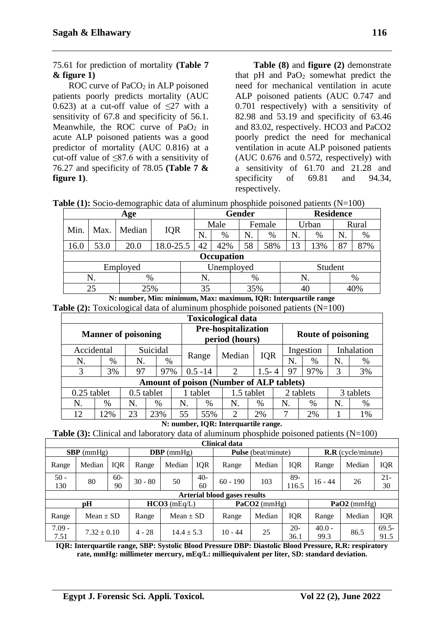ROC curve of  $PaCO<sub>2</sub>$  in ALP poisoned patients poorly predicts mortality (AUC 0.623) at a cut-off value of  $\leq$ 27 with a sensitivity of 67.8 and specificity of 56.1. Meanwhile, the ROC curve of  $PaO<sub>2</sub>$  in acute ALP poisoned patients was a good predictor of mortality (AUC 0.816) at a cut-off value of  $\leq 87.6$  with a sensitivity of 76.27 and specificity of 78.05 **(Table 7 & figure 1)**.

**Table (8)** and **figure (2)** demonstrate that  $pH$  and  $PaO<sub>2</sub>$  somewhat predict the need for mechanical ventilation in acute ALP poisoned patients (AUC 0.747 and 0.701 respectively) with a sensitivity of 82.98 and 53.19 and specificity of 63.46 and 83.02, respectively. HCO3 and PaCO2 poorly predict the need for mechanical ventilation in acute ALP poisoned patients (AUC 0.676 and 0.572, respectively) with a sensitivity of 61.70 and 21.28 and specificity of 69.81 and 94.34, respectively.

|  |  |  |  | <b>Table (1):</b> Socio-demographic data of aluminum phosphide poisoned patients $(N=100)$ |  |
|--|--|--|--|--------------------------------------------------------------------------------------------|--|
|  |  |  |  |                                                                                            |  |

| Age        |      |          |           |      | <b>Gender</b> |        |      |       | <b>Residence</b> |       |      |  |  |
|------------|------|----------|-----------|------|---------------|--------|------|-------|------------------|-------|------|--|--|
| Min.       | Max. | Median   |           | Male |               | Female |      | Urban |                  | Rural |      |  |  |
|            |      |          | IQR       | N.   | %             | N.     | $\%$ | N.    | %                | N.    | $\%$ |  |  |
| 16.0       | 53.0 | 20.0     | 18.0-25.5 | 42   | 42%           | 58     | 58%  | 13    | 13%              | 87    | 87%  |  |  |
|            |      |          |           |      | Occupation    |        |      |       |                  |       |      |  |  |
|            |      | Employed |           |      | Unemployed    |        |      |       | Student          |       |      |  |  |
| N.<br>$\%$ |      |          |           | N.   |               | $\%$   |      | N.    |                  | $\%$  |      |  |  |
| 25%<br>25  |      |          | 35        |      | 35%           |        | 40   |       | 40%              |       |      |  |  |

**N: number, Min: minimum, Max: maximum, IQR: Interquartile range Table (2):** Toxicological data of aluminum phosphide poisoned patients (N=100)

|                             | <b>Toxicological data</b> |    |          |          |                                              |                                                 |           |           |                         |           |    |  |  |
|-----------------------------|---------------------------|----|----------|----------|----------------------------------------------|-------------------------------------------------|-----------|-----------|-------------------------|-----------|----|--|--|
| <b>Manner of poisoning</b>  |                           |    |          |          | <b>Pre-hospitalization</b><br>period (hours) |                                                 |           |           | Route of poisoning      |           |    |  |  |
| Accidental                  |                           |    | Suicidal |          |                                              |                                                 |           |           | Inhalation<br>Ingestion |           |    |  |  |
| N.                          | $\%$                      | N. | %        |          | Range                                        | Median                                          | IQR       | N         | $\%$                    | N.        | %  |  |  |
| 3                           | 3%                        | 97 | 97%      |          | $0.5 - 14$                                   | $\overline{2}$                                  | $1.5 - 4$ | 97        | 97%                     | 3         | 3% |  |  |
|                             |                           |    |          |          |                                              | <b>Amount of poison (Number of ALP tablets)</b> |           |           |                         |           |    |  |  |
| 0.5 tablet<br>$0.25$ tablet |                           |    |          | 1 tablet | 1.5 tablet                                   |                                                 |           | 2 tablets |                         | 3 tablets |    |  |  |
| N.                          | %                         | N. | $\%$     | N        | %                                            | N.<br>%                                         |           | N.        | %                       | N.        | %  |  |  |
| 12                          | 12%                       | 23 | 23%      | 55       | 55%                                          | 2                                               | 2%        | 7         | 2%                      |           | 1% |  |  |

**N: number, IQR: Interquartile range.**

**Table (3):** Clinical and laboratory data of aluminum phosphide poisoned patients (N=100)

|                  |                 |             |                |                |             | Clinical data                       |                            |               |                                              |                 |                  |  |
|------------------|-----------------|-------------|----------------|----------------|-------------|-------------------------------------|----------------------------|---------------|----------------------------------------------|-----------------|------------------|--|
| $SBP$ (mmHg)     |                 |             | $DBP$ (mmHg)   |                |             |                                     | <b>Pulse</b> (beat/minute) |               | $\mathbf{R} \cdot \mathbf{R}$ (cycle/minute) |                 |                  |  |
| Range            | Median          | <b>IOR</b>  | Range          | Median         | <b>IOR</b>  | Range                               | Median                     | <b>IQR</b>    | Range                                        | Median          | IQR              |  |
| $50 -$<br>130    | 80              | $60-$<br>90 | $30 - 80$      | 50             | $40-$<br>60 | $60 - 190$                          | 103                        | 89-<br>116.5  | $16 - 44$                                    | 26              | $21 -$<br>30     |  |
|                  |                 |             |                |                |             | <b>Arterial blood gases results</b> |                            |               |                                              |                 |                  |  |
|                  | рH              |             | $HCO3$ (mEq/L) |                |             |                                     | $PaCO2$ (mmHg)             |               |                                              | PaO2 ( $mmHg$ ) |                  |  |
| Range            | Mean $\pm$ SD   |             | Range          | Mean $\pm$ SD  |             | Range                               | Median                     | <b>IQR</b>    | Range                                        | Median          | <b>IQR</b>       |  |
| $7.09 -$<br>7.51 | $7.32 \pm 0.10$ |             | $4 - 28$       | $14.4 \pm 5.3$ |             | $10 - 44$                           | 25                         | $20-$<br>36.1 | $40.0 -$<br>99.3                             | 86.5            | $69.5 -$<br>91.5 |  |

**IQR: Interquartile range, SBP: Systolic Blood Pressure DBP: Diastolic Blood Pressure, R.R: respiratory rate, mmHg: millimeter mercury, mEq/L: milliequivalent per liter, SD: standard deviation.**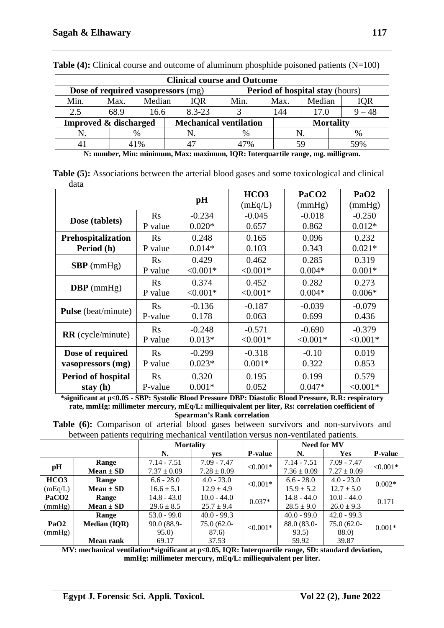|                                    |  |      |        |  |            | <b>Clinical course and Outcome</b> |                                        |                  |     |       |
|------------------------------------|--|------|--------|--|------------|------------------------------------|----------------------------------------|------------------|-----|-------|
| Dose of required vasopressors (mg) |  |      |        |  |            |                                    | <b>Period of hospital stay (hours)</b> |                  |     |       |
| Min.                               |  | Max. | Median |  | IQR        | Min.                               | Max.                                   | Median           |     |       |
| 2.5                                |  | 68.9 | 16.6   |  | $8.3 - 23$ |                                    | 144<br>17.0                            |                  |     | $-48$ |
| <b>Improved &amp; discharged</b>   |  |      |        |  |            | <b>Mechanical ventilation</b>      |                                        | <b>Mortality</b> |     |       |
|                                    |  |      | %      |  |            | $\%$                               |                                        |                  |     |       |
|                                    |  |      | 41%    |  | 17%        |                                    |                                        |                  | 59% |       |

**Table (4):** Clinical course and outcome of aluminum phosphide poisoned patients (N=100)

**N: number, Min: minimum, Max: maximum, IQR: Interquartile range, mg. milligram.**

**Table (5):** Associations between the arterial blood gases and some toxicological and clinical data

|                            |                |                | HCO <sub>3</sub> | PaCO <sub>2</sub> | PaO <sub>2</sub> |
|----------------------------|----------------|----------------|------------------|-------------------|------------------|
|                            |                | $\mathbf{p}$ H | (mEq/L)          | (mmHg)            | (mmHg)           |
| Dose (tablets)             | <b>Rs</b>      | $-0.234$       | $-0.045$         | $-0.018$          | $-0.250$         |
|                            | P value        | $0.020*$       | 0.657            | 0.862             | $0.012*$         |
| <b>Prehospitalization</b>  | <b>Rs</b>      | 0.248          | 0.165            | 0.096             | 0.232            |
| Period (h)                 | P value        | $0.014*$       | 0.103            | 0.343             | $0.021*$         |
|                            | <b>Rs</b>      | 0.429          | 0.462            | 0.285             | 0.319            |
| $SBP$ (mmHg)               | P value        | $< 0.001*$     | $< 0.001*$       | $0.004*$          | $0.001*$         |
|                            | $\mathbf{R}$ s | 0.374          | 0.452            | 0.282             | 0.273            |
| <b>DBP</b> ( $mmHg$ )      | P value        | $< 0.001*$     | $< 0.001*$       | $0.004*$          | $0.006*$         |
| <b>Pulse</b> (beat/minute) | Rs             | $-0.136$       | $-0.187$         | $-0.039$          | $-0.079$         |
|                            | P-value        | 0.178          | 0.063            | 0.699             | 0.436            |
|                            | $\rm Rs$       | $-0.248$       | $-0.571$         | $-0.690$          | $-0.379$         |
| <b>RR</b> (cycle/minute)   | P value        | $0.013*$       | $< 0.001*$       | $< 0.001*$        | $< 0.001*$       |
| Dose of required           | <b>Rs</b>      | $-0.299$       | $-0.318$         | $-0.10$           | 0.019            |
| vasopressors (mg)          | P value        | $0.023*$       | $0.001*$         | 0.322             | 0.853            |
| <b>Period of hospital</b>  | $\mathbf{R}$ s | 0.320          | 0.195            | 0.199             | 0.579            |
| stay $(h)$                 | P-value        | $0.001*$       | 0.052            | $0.047*$          | $< 0.001*$       |

**\*significant at p<0.05 - SBP: Systolic Blood Pressure DBP: Diastolic Blood Pressure, R.R: respiratory rate, mmHg: millimeter mercury, mEq/L: milliequivalent per liter, Rs: correlation coefficient of Spearman's Rank correlation**

**Table (6):** Comparison of arterial blood gases between survivors and non-survivors and between patients requiring mechanical ventilation versus non-ventilated patients.

|                   |                     | ັ                |                 |                |                 |                    |                |
|-------------------|---------------------|------------------|-----------------|----------------|-----------------|--------------------|----------------|
|                   |                     | <b>Mortality</b> |                 |                |                 | <b>Need for MV</b> |                |
|                   |                     | N.<br>yes        |                 | <b>P-value</b> | N.              | <b>Yes</b>         | <b>P-value</b> |
|                   | Range               | $7.14 - 7.51$    | $7.09 - 7.47$   | $< 0.001*$     | $7.14 - 7.51$   | $7.09 - 7.47$      | $< 0.001*$     |
| pH                | $Mean \pm SD$       | $7.37 \pm 0.09$  | $7.28 \pm 0.09$ |                | $7.36 \pm 0.09$ | $7.27 \pm 0.09$    |                |
| HCO3              | Range               | $6.6 - 28.0$     | $4.0 - 23.0$    | $< 0.001*$     | $6.6 - 28.0$    | $4.0 - 23.0$       | $0.002*$       |
| (mEq/L)           | $Mean \pm SD$       | $16.6 \pm 5.1$   | $12.9 \pm 4.9$  |                | $15.9 \pm 5.2$  | $12.7 \pm 5.0$     |                |
| PaCO <sub>2</sub> | Range               | $14.8 - 43.0$    | $10.0 - 44.0$   | $0.037*$       | $14.8 - 44.0$   | $10.0 - 44.0$      | 0.171          |
| (mmHg)            | $Mean \pm SD$       | $29.6 \pm 8.5$   | $25.7 \pm 9.4$  |                | $28.5 \pm 9.0$  | $26.0 \pm 9.3$     |                |
|                   | Range               | $53.0 - 99.0$    | $40.0 - 99.3$   |                | $40.0 - 99.0$   | $42.0 - 99.3$      |                |
| PaO <sub>2</sub>  | <b>Median (IQR)</b> | 90.0 (88.9-      | 75.0 (62.0-     | $< 0.001*$     | 88.0 (83.0-     | 75.0 (62.0-        | $0.001*$       |
| (mmHg)            |                     | 95.0)            | 87.6)           |                | 93.5)           | 88.0               |                |
|                   | <b>Mean rank</b>    | 69.17            | 37.53           |                | 59.92           | 39.87              |                |

**MV: mechanical ventilation\*significant at p<0.05, IQR: Interquartile range, SD: standard deviation, mmHg: millimeter mercury, mEq/L: milliequivalent per liter.**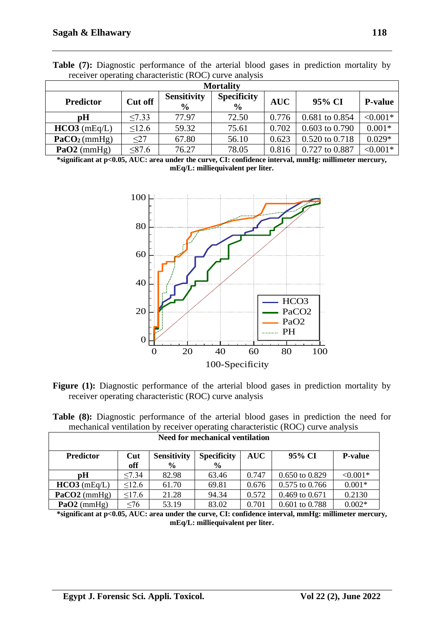| $10001101$ operating enumerations $(1000)$ can be until your |         |                                     |                                     |            |                    |                |  |  |  |  |  |
|--------------------------------------------------------------|---------|-------------------------------------|-------------------------------------|------------|--------------------|----------------|--|--|--|--|--|
| <b>Mortality</b>                                             |         |                                     |                                     |            |                    |                |  |  |  |  |  |
| <b>Predictor</b>                                             | Cut off | <b>Sensitivity</b><br>$\frac{6}{9}$ | <b>Specificity</b><br>$\frac{0}{0}$ | <b>AUC</b> | 95% CI             | <b>P-value</b> |  |  |  |  |  |
| pH                                                           | < 7.33  | 77.97                               | 72.50                               | 0.776      | 0.681 to 0.854     | $< 0.001*$     |  |  |  |  |  |
| $HCO3$ (mEq/L)                                               | 12.6    | 59.32                               | 75.61                               | 0.702      | $0.603$ to $0.790$ | $0.001*$       |  |  |  |  |  |
| PaCO <sub>2</sub> (mmHg)                                     | <27     | 67.80                               | 56.10                               | 0.623      | 0.520 to 0.718     | $0.029*$       |  |  |  |  |  |
| $PaO2$ (mmHg)                                                | <87.6   | 76.27                               | 78.05                               | 0.816      | 0.727 to 0.887     | $< 0.001*$     |  |  |  |  |  |

**Table (7):** Diagnostic performance of the arterial blood gases in prediction mortality by receiver operating characteristic (ROC) curve analysis

**\*significant at p<0.05, AUC: area under the curve, CI: confidence interval, mmHg: millimeter mercury, mEq/L: milliequivalent per liter.**



Figure (1): Diagnostic performance of the arterial blood gases in prediction mortality by receiver operating characteristic (ROC) curve analysis

| <b>Table (8):</b> Diagnostic performance of the arterial blood gases in prediction the need for |                                                                                  |  |  |  |  |
|-------------------------------------------------------------------------------------------------|----------------------------------------------------------------------------------|--|--|--|--|
|                                                                                                 | mechanical ventilation by receiver operating characteristic (ROC) curve analysis |  |  |  |  |
|                                                                                                 | Need for mechanical ventilation                                                  |  |  |  |  |

|                  |             |                    | теся гот препапрат спинации |            |                           |                |
|------------------|-------------|--------------------|-----------------------------|------------|---------------------------|----------------|
| <b>Predictor</b> | Cut         | <b>Sensitivity</b> | <b>Specificity</b>          | <b>AUC</b> | 95% CI                    | <b>P-value</b> |
|                  | off         | $\frac{0}{0}$      | $\frac{0}{0}$               |            |                           |                |
| рH               | $\leq 7.34$ | 82.98              | 63.46                       | 0.747      | $0.650 \text{ to } 0.829$ | $< 0.001*$     |
| $HCO3$ (mEq/L)   | $\leq 12.6$ | 61.70              | 69.81                       | 0.676      | $0.575$ to $0.766$        | $0.001*$       |
| $PaCO2$ (mmHg)   | $\leq$ 17.6 | 21.28              | 94.34                       | 0.572      | $0.469$ to $0.671$        | 0.2130         |
| $PaO2$ (mmHg)    | < 76        | 53.19              | 83.02                       | 0.701      | $0.601$ to $0.788$        | $0.002*$       |

**\*significant at p<0.05, AUC: area under the curve, CI: confidence interval, mmHg: millimeter mercury, mEq/L: milliequivalent per liter.**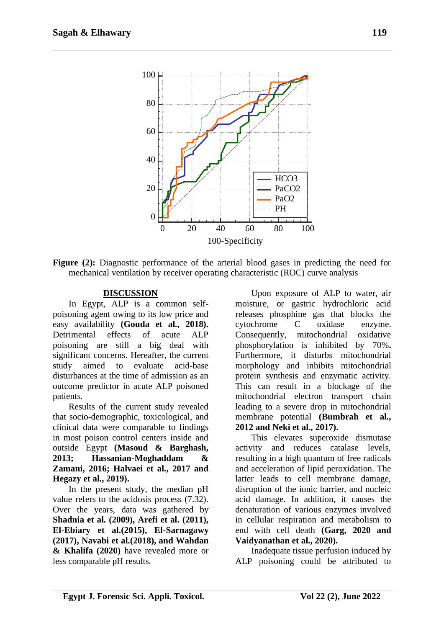

**Figure** (2): Diagnostic performance of the arterial blood gases in predicting the need for mechanical ventilation by receiver operating characteristic (ROC) curve analysis

## **DISCUSSION**

In Egypt, ALP is a common selfpoisoning agent owing to its low price and easy availability **(Gouda et al., 2018).**  Detrimental effects of acute ALP poisoning are still a big deal with significant concerns. Hereafter, the current study aimed to evaluate acid-base disturbances at the time of admission as an outcome predictor in acute ALP poisoned patients.

Results of the current study revealed that socio-demographic, toxicological, and clinical data were comparable to findings in most poison control centers inside and outside Egypt **(Masoud & Barghash, 2013; Hassanian-Moghaddam & Zamani, 2016; Halvaei et al., 2017 and Hegazy et al., 2019).**

In the present study, the median pH value refers to the acidosis process (7.32). Over the years, data was gathered by **Shadnia et al. (2009), Arefi et al. (2011), El-Ebiary et al.(2015), El-Sarnagawy (2017), Navabi et al.(2018), and Wahdan & Khalifa (2020)** have revealed more or less comparable pH results.

Upon exposure of ALP to water, air moisture, or gastric hydrochloric acid releases phosphine gas that blocks the cytochrome C oxidase enzyme. Consequently, mitochondrial oxidative phosphorylation is inhibited by 70%**.**  Furthermore, it disturbs mitochondrial morphology and inhibits mitochondrial protein synthesis and enzymatic activity. This can result in a blockage of the mitochondrial electron transport chain leading to a severe drop in mitochondrial membrane potential **(Bumbrah et al., 2012 and Neki et al., 2017).**

This elevates superoxide dismutase activity and reduces catalase levels, resulting in a high quantum of free radicals and acceleration of lipid peroxidation. The latter leads to cell membrane damage, disruption of the ionic barrier, and nucleic acid damage. In addition, it causes the denaturation of various enzymes involved in cellular respiration and metabolism to end with cell death **(Garg, 2020 and Vaidyanathan et al., 2020).**

Inadequate tissue perfusion induced by ALP poisoning could be attributed to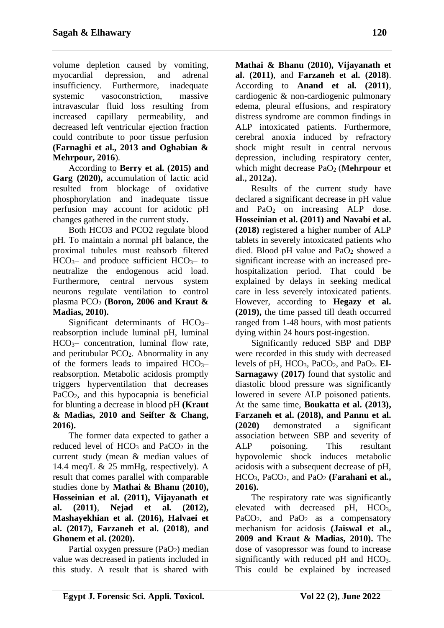volume depletion caused by vomiting, myocardial depression, and adrenal insufficiency. Furthermore, inadequate systemic vasoconstriction, massive intravascular fluid loss resulting from increased capillary permeability, and decreased left ventricular ejection fraction could contribute to poor tissue perfusion **(Farnaghi et al., 2013 and Oghabian & Mehrpour, 2016**).

According to **Berry et al. (2015) and Garg (2020),** accumulation of lactic acid resulted from blockage of oxidative phosphorylation and inadequate tissue perfusion may account for acidotic pH changes gathered in the current study**.**

Both HCO3 and PCO2 regulate blood pH. To maintain a normal pH balance, the proximal tubules must reabsorb filtered  $HCO<sub>3</sub>$ – and produce sufficient  $HCO<sub>3</sub>$ – to neutralize the endogenous acid load. Furthermore, central nervous system neurons regulate ventilation to control plasma PCO<sup>2</sup> **(Boron, 2006 and Kraut & Madias, 2010).**

Significant determinants of  $HCO<sub>3</sub>$ reabsorption include luminal pH, luminal  $HCO<sub>3</sub>$  concentration, luminal flow rate, and peritubular  $PCO<sub>2</sub>$ . Abnormality in any of the formers leads to impaired  $HCO<sub>3</sub>$ reabsorption. Metabolic acidosis promptly triggers hyperventilation that decreases PaCO2, and this hypocapnia is beneficial for blunting a decrease in blood pH **(Kraut & Madias, 2010 and Seifter & Chang, 2016).**

The former data expected to gather a reduced level of  $HCO<sub>3</sub>$  and  $PaCO<sub>2</sub>$  in the current study (mean & median values of 14.4 meq/L & 25 mmHg, respectively). A result that comes parallel with comparable studies done by **Mathai & Bhanu (2010), Hosseinian et al. (2011), Vijayanath et al. (2011)**, **Nejad et al. (2012), Mashayekhian et al. (2016), Halvaei et al. (2017), Farzaneh et al. (2018)**, **and Ghonem et al. (2020).**

Partial oxygen pressure (PaO<sub>2</sub>) median value was decreased in patients included in this study. A result that is shared with

**Mathai & Bhanu (2010), Vijayanath et al. (2011)**, and **Farzaneh et al. (2018)**. According to **Anand et al. (2011)**, cardiogenic & non-cardiogenic pulmonary edema, pleural effusions, and respiratory distress syndrome are common findings in ALP intoxicated patients. Furthermore, cerebral anoxia induced by refractory shock might result in central nervous depression, including respiratory center, which might decrease PaO<sub>2</sub> (Mehrpour et **al., 2012a).**

Results of the current study have declared a significant decrease in pH value and PaO<sup>2</sup> on increasing ALP dose. **Hosseinian et al. (2011) and Navabi et al. (2018)** registered a higher number of ALP tablets in severely intoxicated patients who died. Blood pH value and  $PaO<sub>2</sub>$  showed a significant increase with an increased prehospitalization period. That could be explained by delays in seeking medical care in less severely intoxicated patients. However, according to **Hegazy et al. (2019),** the time passed till death occurred ranged from 1-48 hours, with most patients dying within 24 hours post-ingestion.

Significantly reduced SBP and DBP were recorded in this study with decreased levels of  $pH$ ,  $HCO<sub>3</sub>$ ,  $PaCO<sub>2</sub>$ , and  $PaO<sub>2</sub>$ ,  $El-$ **Sarnagawy (2017)** found that systolic and diastolic blood pressure was significantly lowered in severe ALP poisoned patients. At the same time, **Boukatta et al. (2013), Farzaneh et al. (2018[\), and Pannu](https://www.ncbi.nlm.nih.gov/pubmed/?term=Pannu%20AK%5BAuthor%5D&cauthor=true&cauthor_uid=33132561) et al. (2020)** demonstrated a significant association between SBP and severity of ALP poisoning. This resultant hypovolemic shock induces metabolic acidosis with a subsequent decrease of pH, HCO3, PaCO2, and PaO<sup>2</sup> **(Farahani et al., 2016).**

The respiratory rate was significantly elevated with decreased pH, HCO<sub>3</sub>, PaCO<sub>2</sub>, and PaO<sub>2</sub> as a compensatory mechanism for acidosis **(Jaiswal et al., 2009 and Kraut & Madias, 2010).** The dose of vasopressor was found to increase significantly with reduced  $pH$  and  $HCO<sub>3</sub>$ . This could be explained by increased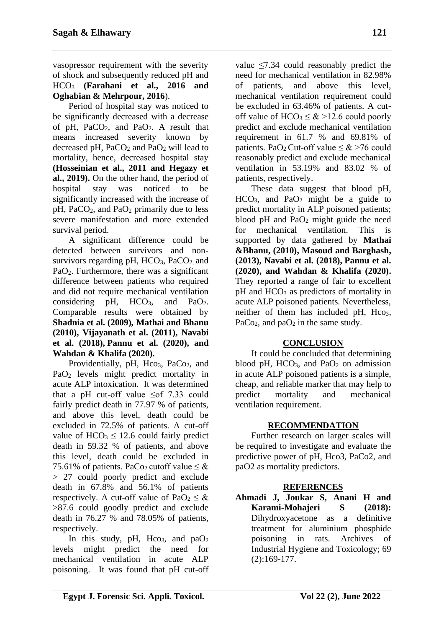vasopressor requirement with the severity of shock and subsequently reduced pH and HCO<sup>3</sup> **(Farahani et al., 2016 and Oghabian & Mehrpour, 2016**).

Period of hospital stay was noticed to be significantly decreased with a decrease of pH,  $PaCO<sub>2</sub>$ , and  $PaO<sub>2</sub>$ . A result that means increased severity known by decreased pH,  $PaCO<sub>2</sub>$  and  $PaO<sub>2</sub>$  will lead to mortality, hence, decreased hospital stay **(Hosseinian et al., 2011 and Hegazy et al., 2019).** On the other hand, the period of hospital stay was noticed to be significantly increased with the increase of  $pH$ , PaCO<sub>2</sub>, and PaO<sub>2</sub> primarily due to less severe manifestation and more extended survival period.

A significant difference could be detected between survivors and nonsurvivors regarding  $pH$ ,  $HCO<sub>3</sub>$ ,  $PaCO<sub>2</sub>$  and PaO2. Furthermore, there was a significant difference between patients who required and did not require mechanical ventilation considering pH,  $HCO<sub>3</sub>$ , and  $PaO<sub>2</sub>$ . Comparable results were obtained by **Shadnia et al. (2009), Mathai and Bhanu (2010), Vijayanath et al. (2011), Navabi et al. (2018), [Pannu](https://www.ncbi.nlm.nih.gov/pubmed/?term=Pannu%20AK%5BAuthor%5D&cauthor=true&cauthor_uid=33132561) et al. (2020), and Wahdan & Khalifa (2020).**

Providentially, pH, Hco<sub>3</sub>, PaCo<sub>2</sub>, and PaO<sub>2</sub> levels might predict mortality in acute ALP intoxication. It was determined that a pH cut-off value  $\leq$  of 7.33 could fairly predict death in 77.97 % of patients, and above this level, death could be excluded in 72.5% of patients. A cut-off value of  $HCO<sub>3</sub> \le 12.6$  could fairly predict death in 59.32 % of patients, and above this level, death could be excluded in 75.61% of patients. PaCo<sub>2</sub> cutoff value  $\leq \&$ > 27 could poorly predict and exclude death in 67.8% and 56.1% of patients respectively. A cut-off value of  $PaO<sub>2</sub> \leq \&$ >87.6 could goodly predict and exclude death in 76.27 % and 78.05% of patients, respectively.

In this study, pH, Hco<sub>3</sub>, and  $paO<sub>2</sub>$ levels might predict the need for mechanical ventilation in acute ALP poisoning. It was found that pH cut-off value  $\leq$ 7.34 could reasonably predict the need for mechanical ventilation in 82.98% of patients, and above this level, mechanical ventilation requirement could be excluded in 63.46% of patients. A cutoff value of  $HCO<sub>3</sub> \le \& 212.6$  could poorly predict and exclude mechanical ventilation requirement in 61.7 % and 69.81% of patients. PaO<sub>2</sub> Cut-off value  $\leq \& 276$  could reasonably predict and exclude mechanical ventilation in 53.19% and 83.02 % of patients, respectively.

These data suggest that blood pH,  $HCO<sub>3</sub>$ , and PaO<sub>2</sub> might be a guide to predict mortality in ALP poisoned patients; blood pH and PaO<sub>2</sub> might guide the need for mechanical ventilation. This is supported by data gathered by **Mathai &Bhanu, (2010), Masoud and Barghash, (2013), Navabi et al. (2018), [Pannu](https://www.ncbi.nlm.nih.gov/pubmed/?term=Pannu%20AK%5BAuthor%5D&cauthor=true&cauthor_uid=33132561) et al. (2020), and Wahdan & Khalifa (2020).**  They reported a range of fair to excellent  $pH$  and  $HCO<sub>3</sub>$  as predictors of mortality in acute ALP poisoned patients. Nevertheless, neither of them has included pH,  $HCO<sub>3</sub>$ , PaCo<sub>2</sub>, and paO<sub>2</sub> in the same study.

## **CONCLUSION**

It could be concluded that determining blood pH,  $HCO<sub>3</sub>$ , and PaO<sub>2</sub> on admission in acute ALP poisoned patients is a simple, cheap, and reliable marker that may help to predict mortality and mechanical ventilation requirement.

## **RECOMMENDATION**

Further research on larger scales will be required to investigate and evaluate the predictive power of pH, Hco3, PaCo2, and paO2 as mortality predictors.

## **REFERENCES**

**Ahmadi J, Joukar S, Anani H and Karami-Mohajeri S (2018):**  Dihydroxyacetone as a definitive treatment for aluminium phosphide poisoning in rats. Archives of Industrial Hygiene and Toxicology; 69 (2):169-177.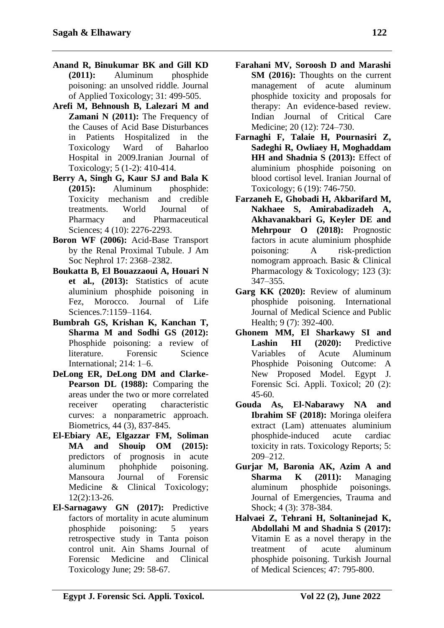- **Anand R, Binukumar BK and Gill KD (2011):** Aluminum phosphide poisoning: an unsolved riddle. Journal of Applied Toxicology; 31: 499-505.
- **Arefi M, Behnoush B, Lalezari M and Zamani N (2011):** The Frequency of the Causes of Acid Base Disturbances in Patients Hospitalized in the Toxicology Ward of Baharloo Hospital in 2009.Iranian Journal of Toxicology; 5 (1-2): 410-414.
- **Berry A, Singh G, Kaur SJ and Bala K (2015):** Aluminum phosphide: Toxicity mechanism and credible treatments. World Journal of Pharmacy and Pharmaceutical Sciences; 4 (10): 2276-2293.
- **Boron WF (2006):** Acid-Base Transport by the Renal Proximal Tubule. J Am Soc Nephrol 17: 2368–2382.
- **Boukatta B, El Bouazzaoui A, Houari N et al., (2013):** Statistics of acute aluminium phosphide poisoning in Fez, Morocco. Journal of Life Sciences.7:1159–1164.
- **Bumbrah GS, Krishan K, Kanchan T, Sharma M and Sodhi GS (2012):**  Phosphide poisoning: a review of literature. Forensic Science International; 214: 1–6.
- **DeLong ER, DeLong DM and Clarke-Pearson DL (1988):** Comparing the areas under the two or more correlated receiver operating characteristic curves: a nonparametric approach. Biometrics, 44 (3), 837-845.
- **El-Ebiary AE, Elgazzar FM, Soliman MA and Shouip OM (2015):**  predictors of prognosis in acute aluminum phohphide poisoning. Mansoura Journal of Forensic Medicine & Clinical Toxicology; 12(2):13-26.
- **El-Sarnagawy GN (2017):** Predictive factors of mortality in acute aluminum phosphide poisoning: 5 years retrospective study in Tanta poison control unit. Ain Shams Journal of Forensic Medicine and Clinical Toxicology June; 29: 58-67.
- **Farahani MV, Soroosh D and Marashi SM (2016):** Thoughts on the current management of acute aluminum phosphide toxicity and proposals for therapy: An evidence-based review. Indian Journal of Critical Care Medicine; 20 (12): 724–730.
- **Farnaghi F, Talaie H, Pournasiri Z, Sadeghi R, Owliaey H, Moghaddam HH** and Shadnia S (2013): Effect of aluminium phosphide poisoning on blood cortisol level. Iranian Journal of Toxicology; 6 (19): 746-750.
- **Farzaneh E, Ghobadi H, Akbarifard M, Nakhaee S, Amirabadizadeh A, Akhavanakbari G, Keyler DE and Mehrpour O (2018):** Prognostic factors in acute aluminium phosphide poisoning: A risk-prediction nomogram approach. Basic & Clinical Pharmacology & Toxicology; 123 (3): 347–355.
- **Garg KK (2020):** Review of aluminum phosphide poisoning. International Journal of Medical Science and Public Health; 9 (7): 392-400.
- **Ghonem MM, El Sharkawy SI and**  Lashin HI (2020): Predictive Variables of Acute Aluminum Phosphide Poisoning Outcome: A New Proposed Model. Egypt J. Forensic Sci. Appli. Toxicol; 20 (2): 45-60.
- **Gouda As, El-Nabarawy NA and Ibrahim SF (2018):** Moringa oleifera extract (Lam) attenuates aluminium phosphide-induced acute cardiac toxicity in rats. Toxicology Reports; 5: 209–212.
- **Gurjar M, Baronia AK, Azim A and Sharma K (2011):** Managing aluminum phosphide poisonings. [Journal of Emergencies, Trauma and](http://www.google.com.eg/url?sa=t&rct=j&q=&esrc=s&frm=1&source=web&cd=1&cad=rja&ved=0CC8QFjAA&url=http%3A%2F%2Fwww.onlinejets.org%2F&ei=2hKZUv2QKtCshQek4oH4BA&usg=AFQjCNFBC01qpyKvDCwoPKxDf1UGorC2hg)  [Shock;](http://www.google.com.eg/url?sa=t&rct=j&q=&esrc=s&frm=1&source=web&cd=1&cad=rja&ved=0CC8QFjAA&url=http%3A%2F%2Fwww.onlinejets.org%2F&ei=2hKZUv2QKtCshQek4oH4BA&usg=AFQjCNFBC01qpyKvDCwoPKxDf1UGorC2hg) 4 (3): 378-384.
- **Halvaei Z, Tehrani H, Soltaninejad K, Abdollahi M and Shadnia S (2017):**  Vitamin E as a novel therapy in the treatment of acute aluminum phosphide poisoning. Turkish Journal of Medical Sciences; 47: 795-800.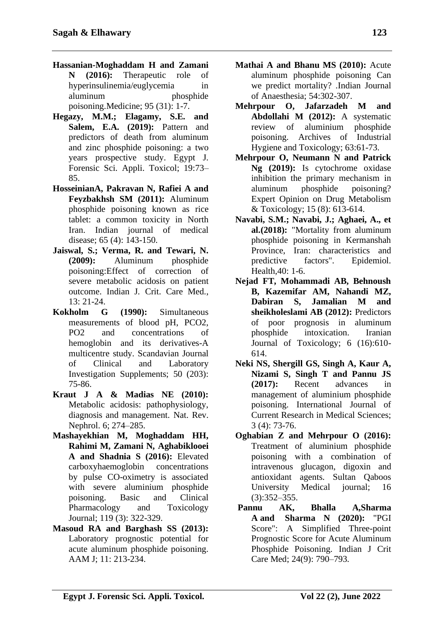- **Hassanian-Moghaddam H and Zamani N (2016):** Therapeutic role of hyperinsulinemia/euglycemia in aluminum phosphide poisoning.Medicine; 95 (31): 1-7.
- **Hegazy, M.M.; Elagamy, S.E. and Salem, E.A. (2019):** Pattern and predictors of death from aluminum and zinc phosphide poisoning: a two years prospective study. Egypt J. Forensic Sci. Appli. Toxicol; 19:73– 85.
- **HosseinianA, Pakravan N, Rafiei A and Feyzbakhsh SM (2011):** Aluminum phosphide poisoning known as rice tablet: a common toxicity in North Iran. Indian journal of medical disease; 65 (4): 143-150.
- **Jaiswal, S.; Verma, R. and Tewari, N. (2009):** Aluminum phosphide poisoning:Effect of correction of severe metabolic acidosis on patient outcome. Indian J. Crit. Care Med.,  $13: 21 - 24$ .
- **Kokholm G (1990):** Simultaneous measurements of blood pH, PCO2, PO2 and concentrations of hemoglobin and its derivatives-A multicentre study. Scandavian Journal of Clinical and Laboratory Investigation Supplements; 50 (203): 75-86.
- **Kraut J A & Madias NE (2010):** Metabolic acidosis: pathophysiology, diagnosis and management. Nat. Rev. Nephrol. 6; 274–285.
- **Mashayekhian M, Moghaddam HH, Rahimi M, Zamani N, Aghabiklooei A and Shadnia S (2016):** Elevated carboxyhaemoglobin concentrations by pulse CO-oximetry is associated with severe aluminium phosphide poisoning. Basic and Clinical Pharmacology and Toxicology Journal; 119 (3): 322-329.
- **Masoud RA and Barghash SS (2013):**  Laboratory prognostic potential for acute aluminum phosphide poisoning. AAM J; 11: 213-234.
- **Mathai A and Bhanu MS (2010):** Acute aluminum phosphide poisoning Can we predict mortality? .Indian Journal of Anaesthesia; 54:302-307.
- **Mehrpour O, Jafarzadeh M and Abdollahi M (2012):** A systematic review of aluminium phosphide poisoning. Archives of Industrial Hygiene and Toxicology; 63:61-73.
- **Mehrpour O, Neumann N and Patrick Ng (2019):** Is cytochrome oxidase inhibition the primary mechanism in aluminum phosphide poisoning? Expert Opinion on Drug Metabolism & Toxicology; 15 (8): 613-614.
- **Navabi, S.M.; Navabi, J.; Aghaei, A., et al.(2018):** "Mortality from aluminum phosphide poisoning in Kermanshah Province, Iran: characteristics and predictive factors". Epidemiol. Health,40: 1-6.
- **Nejad FT, Mohammadi AB, Behnoush B, Kazemifar AM, Nahandi MZ, Dabiran S, Jamalian M and sheikholeslami AB (2012):** Predictors of poor prognosis in aluminum phosphide intoxication. Iranian Journal of Toxicology; 6 (16):610- 614.
- **Neki NS, Shergill GS, Singh A, Kaur A, Nizami S, Singh T and Pannu JS (2017):** Recent advances in management of aluminium phosphide poisoning. International Journal of Current Research in Medical Sciences; 3 (4): 73-76.
- **Oghabian Z and Mehrpour O (2016):**  Treatment of aluminium phosphide poisoning with a combination of intravenous glucagon, digoxin and antioxidant agents. Sultan Qaboos University Medical journal; 16 (3):352–355.
- **[Pannu](https://www.ncbi.nlm.nih.gov/pubmed/?term=Pannu%20AK%5BAuthor%5D&cauthor=true&cauthor_uid=33132561) AK, [Bhalla](https://www.ncbi.nlm.nih.gov/pubmed/?term=Bhalla%20A%5BAuthor%5D&cauthor=true&cauthor_uid=33132561) [A,Sharma](https://www.ncbi.nlm.nih.gov/pubmed/?term=Sharma%20A%5BAuthor%5D&cauthor=true&cauthor_uid=33132561) A and [Sharma](https://www.ncbi.nlm.nih.gov/pubmed/?term=Sharma%20N%5BAuthor%5D&cauthor=true&cauthor_uid=33132561) N (2020):** "PGI Score": A Simplified Three-point Prognostic Score for Acute Aluminum Phosphide Poisoning. [Indian J Crit](https://www.ncbi.nlm.nih.gov/pmc/articles/PMC7584820/)  [Care Med;](https://www.ncbi.nlm.nih.gov/pmc/articles/PMC7584820/) 24(9): 790–793.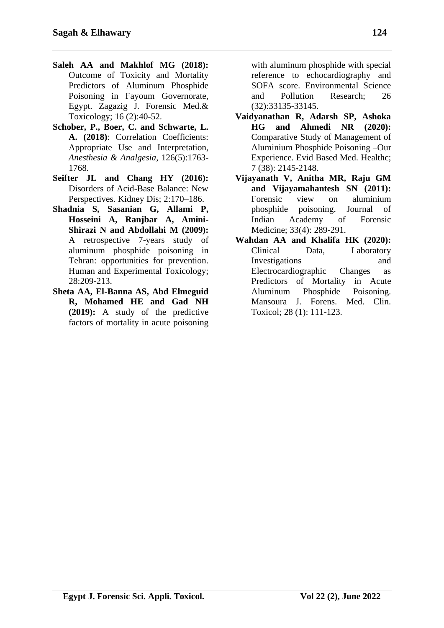- **Saleh AA and Makhlof MG (2018):** Outcome of Toxicity and Mortality Predictors of Aluminum Phosphide Poisoning in Fayoum Governorate, Egypt. Zagazig J. Forensic Med.& Toxicology; 16 (2):40-52.
- **Schober, P., Boer, C. and Schwarte, L. A. (2018)**: Correlation Coefficients: Appropriate Use and Interpretation, *Anesthesia & Analgesia*, 126(5):1763- 1768.
- **Seifter JL and Chang HY (2016):** Disorders of Acid-Base Balance: New Perspectives. Kidney Dis; 2:170–186.
- **Shadnia S, Sasanian G, Allami P, Hosseini A, Ranjbar A, Amini-Shirazi N and Abdollahi M (2009):**  A retrospective 7-years study of aluminum phosphide poisoning in Tehran: opportunities for prevention. Human and Experimental Toxicology; 28:209-213.
- **Sheta AA, El-Banna AS, Abd Elmeguid R, Mohamed HE and Gad NH (2019):** A study of the predictive factors of mortality in acute poisoning

with aluminum phosphide with special reference to echocardiography and SOFA score. Environmental Science and Pollution Research; 26 (32):33135-33145.

- **Vaidyanathan R, Adarsh SP, Ashoka HG and Ahmedi NR (2020):** Comparative Study of Management of Aluminium Phosphide Poisoning –Our Experience. Evid Based Med. Healthc; 7 (38): 2145-2148.
- **Vijayanath V, Anitha MR, Raju GM and Vijayamahantesh SN (2011):**  Forensic view on aluminium phosphide poisoning. Journal of Indian Academy of Forensic Medicine; 33(4): 289-291.
- **Wahdan AA and Khalifa HK (2020):**  Clinical Data, Laboratory Investigations and Electrocardiographic Changes as Predictors of Mortality in Acute Aluminum Phosphide Poisoning. Mansoura J. Forens. Med. Clin. Toxicol; 28 (1): 111-123.